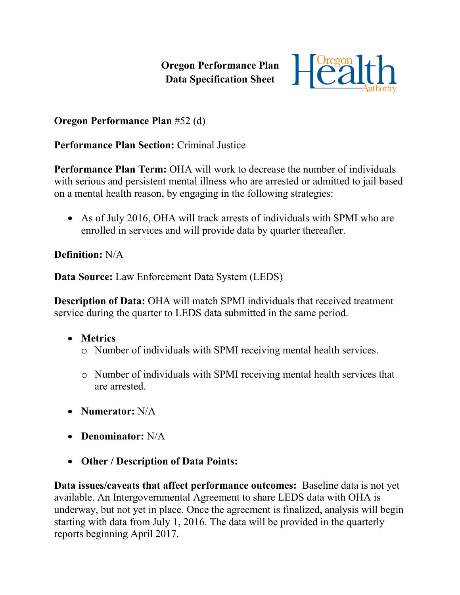**Oregon Performance Plan Data Specification Sheet**



## **Oregon Performance Plan** #52 (d)

## **Performance Plan Section:** Criminal Justice

**Performance Plan Term:** OHA will work to decrease the number of individuals with serious and persistent mental illness who are arrested or admitted to jail based on a mental health reason, by engaging in the following strategies:

• As of July 2016, OHA will track arrests of individuals with SPMI who are enrolled in services and will provide data by quarter thereafter.

## **Definition:** N/A

**Data Source:** Law Enforcement Data System (LEDS)

**Description of Data:** OHA will match SPMI individuals that received treatment service during the quarter to LEDS data submitted in the same period.

- **Metrics**
	- o Number of individuals with SPMI receiving mental health services.
	- o Number of individuals with SPMI receiving mental health services that are arrested.
- **Numerator:** N/A
- **Denominator:** N/A
- **Other / Description of Data Points:**

**Data issues/caveats that affect performance outcomes:** Baseline data is not yet available. An Intergovernmental Agreement to share LEDS data with OHA is underway, but not yet in place. Once the agreement is finalized, analysis will begin starting with data from July 1, 2016. The data will be provided in the quarterly reports beginning April 2017.